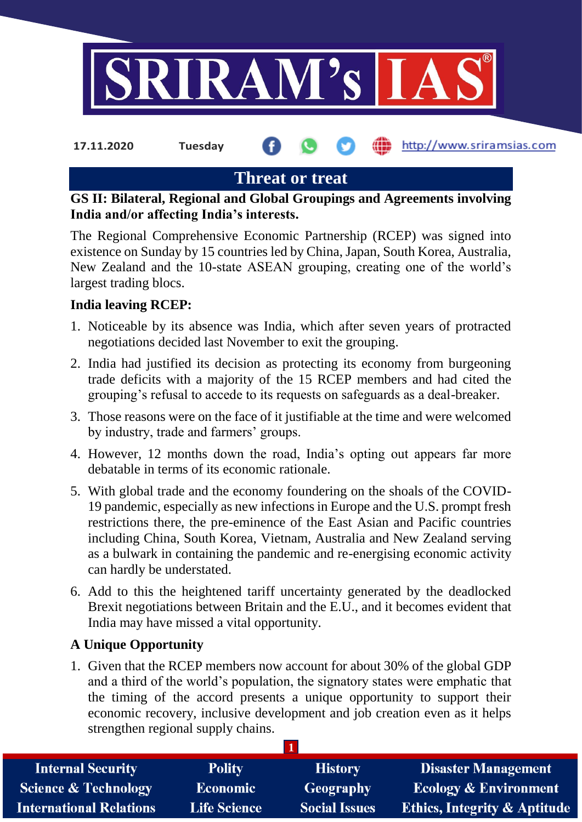

**17.11.2020 Tuesday**

http://www.sriramsias.com

# **Threat or treat**

**GS II: Bilateral, Regional and Global Groupings and Agreements involving India and/or affecting India's interests.**

The Regional Comprehensive Economic Partnership (RCEP) was signed into existence on Sunday by 15 countries led by China, Japan, South Korea, Australia, New Zealand and the 10-state ASEAN grouping, creating one of the world's largest trading blocs.

# **India leaving RCEP:**

- 1. Noticeable by its absence was India, which after seven years of protracted negotiations decided last November to exit the grouping.
- 2. India had justified its decision as protecting its economy from burgeoning trade deficits with a majority of the 15 RCEP members and had cited the grouping's refusal to accede to its requests on safeguards as a deal-breaker.
- 3. Those reasons were on the face of it justifiable at the time and were welcomed by industry, trade and farmers' groups.
- 4. However, 12 months down the road, India's opting out appears far more debatable in terms of its economic rationale.
- 5. With global trade and the economy foundering on the shoals of the COVID-19 pandemic, especially as new infections in Europe and the U.S. prompt fresh restrictions there, the pre-eminence of the East Asian and Pacific countries including China, South Korea, Vietnam, Australia and New Zealand serving as a bulwark in containing the pandemic and re-energising economic activity can hardly be understated.
- 6. Add to this the heightened tariff uncertainty generated by the deadlocked Brexit negotiations between Britain and the E.U., and it becomes evident that India may have missed a vital opportunity.

### **A Unique Opportunity**

1. Given that the RCEP members now account for about 30% of the global GDP and a third of the world's population, the signatory states were emphatic that the timing of the accord presents a unique opportunity to support their economic recovery, inclusive development and job creation even as it helps strengthen regional supply chains.

| <b>Internal Security</b>        | <b>Polity</b>       | <b>History</b>       | <b>Disaster Management</b>              |
|---------------------------------|---------------------|----------------------|-----------------------------------------|
| <b>Science &amp; Technology</b> | <b>Economic</b>     | Geography            | <b>Ecology &amp; Environment</b>        |
| <b>International Relations</b>  | <b>Life Science</b> | <b>Social Issues</b> | <b>Ethics, Integrity &amp; Aptitude</b> |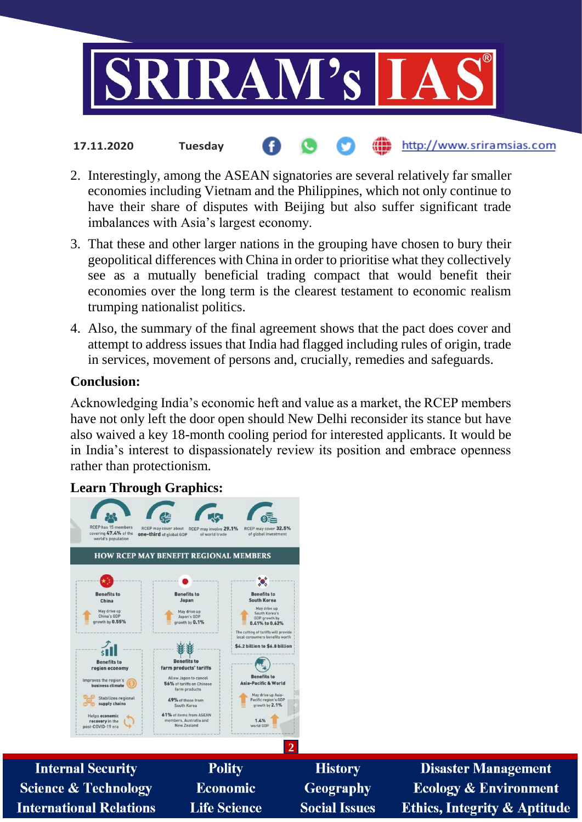

# 2. Interestingly, among the ASEAN signatories are several relatively far smaller economies including Vietnam and the Philippines, which not only continue to have their share of disputes with Beijing but also suffer significant trade imbalances with Asia's largest economy.

http://www.sriramsias.com

- 3. That these and other larger nations in the grouping have chosen to bury their geopolitical differences with China in order to prioritise what they collectively see as a mutually beneficial trading compact that would benefit their economies over the long term is the clearest testament to economic realism trumping nationalist politics.
- 4. Also, the summary of the final agreement shows that the pact does cover and attempt to address issues that India had flagged including rules of origin, trade in services, movement of persons and, crucially, remedies and safeguards.

### **Conclusion:**

Acknowledging India's economic heft and value as a market, the RCEP members have not only left the door open should New Delhi reconsider its stance but have also waived a key 18-month cooling period for interested applicants. It would be in India's interest to dispassionately review its position and embrace openness rather than protectionism.

# **Learn Through Graphics:**

**17.11.2020 Tuesday**

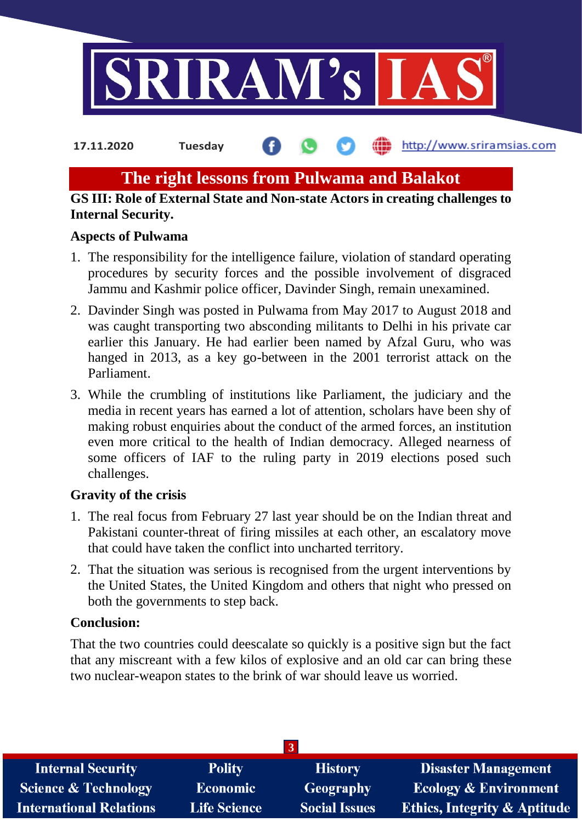

**17.11.2020 Tuesday**

http://www.sriramsias.com

# **The right lessons from Pulwama and Balakot**

### **GS III: Role of External State and Non-state Actors in creating challenges to Internal Security.**

### **Aspects of Pulwama**

- 1. The responsibility for the intelligence failure, violation of standard operating procedures by security forces and the possible involvement of disgraced Jammu and Kashmir police officer, Davinder Singh, remain unexamined.
- 2. Davinder Singh was posted in Pulwama from May 2017 to August 2018 and was caught transporting two absconding militants to Delhi in his private car earlier this January. He had earlier been named by Afzal Guru, who was hanged in 2013, as a key go-between in the 2001 terrorist attack on the Parliament.
- 3. While the crumbling of institutions like Parliament, the judiciary and the media in recent years has earned a lot of attention, scholars have been shy of making robust enquiries about the conduct of the armed forces, an institution even more critical to the health of Indian democracy. Alleged nearness of some officers of IAF to the ruling party in 2019 elections posed such challenges.

### **Gravity of the crisis**

- 1. The real focus from February 27 last year should be on the Indian threat and Pakistani counter-threat of firing missiles at each other, an escalatory move that could have taken the conflict into uncharted territory.
- 2. That the situation was serious is recognised from the urgent interventions by the United States, the United Kingdom and others that night who pressed on both the governments to step back.

### **Conclusion:**

That the two countries could deescalate so quickly is a positive sign but the fact that any miscreant with a few kilos of explosive and an old car can bring these two nuclear-weapon states to the brink of war should leave us worried.

| <b>Internal Security</b>        | <b>Polity</b>       | <b>History</b>       | <b>Disaster Management</b>              |
|---------------------------------|---------------------|----------------------|-----------------------------------------|
| <b>Science &amp; Technology</b> | <b>Economic</b>     | Geography            | <b>Ecology &amp; Environment</b>        |
| <b>International Relations</b>  | <b>Life Science</b> | <b>Social Issues</b> | <b>Ethics, Integrity &amp; Aptitude</b> |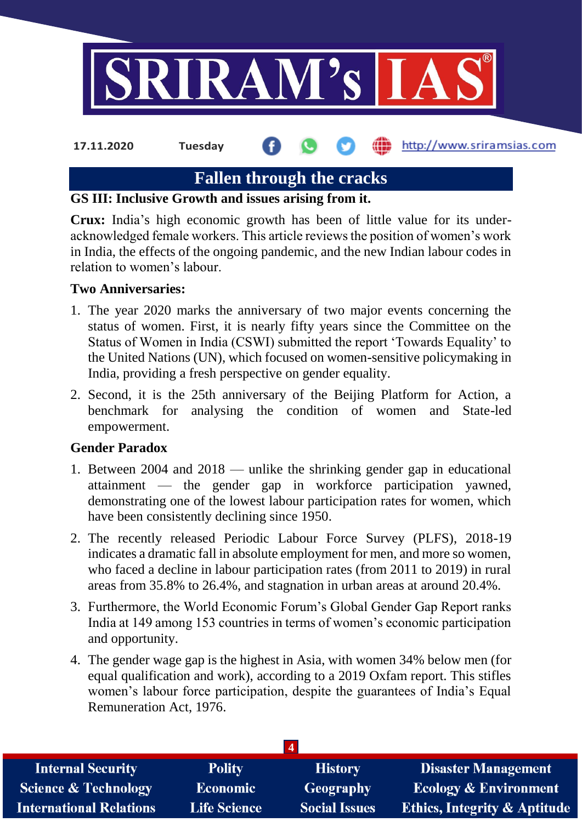

**17.11.2020 Tuesday**

**fin** http://www.sriramsias.com

# **Fallen through the cracks**

# **GS III: Inclusive Growth and issues arising from it.**

**Crux:** India's high economic growth has been of little value for its underacknowledged female workers. This article reviews the position of women's work in India, the effects of the ongoing pandemic, and the new Indian labour codes in relation to women's labour.

# **Two Anniversaries:**

- 1. The year 2020 marks the anniversary of two major events concerning the status of women. First, it is nearly fifty years since the Committee on the Status of Women in India (CSWI) submitted the report 'Towards Equality' to the United Nations (UN), which focused on women-sensitive policymaking in India, providing a fresh perspective on gender equality.
- 2. Second, it is the 25th anniversary of the Beijing Platform for Action, a benchmark for analysing the condition of women and State-led empowerment.

### **Gender Paradox**

- 1. Between 2004 and 2018 unlike the shrinking gender gap in educational attainment — the gender gap in workforce participation yawned, demonstrating one of the lowest labour participation rates for women, which have been consistently declining since 1950.
- 2. The recently released Periodic Labour Force Survey (PLFS), 2018-19 indicates a dramatic fall in absolute employment for men, and more so women, who faced a decline in labour participation rates (from 2011 to 2019) in rural areas from 35.8% to 26.4%, and stagnation in urban areas at around 20.4%.
- 3. Furthermore, the World Economic Forum's Global Gender Gap Report ranks India at 149 among 153 countries in terms of women's economic participation and opportunity.
- 4. The gender wage gap is the highest in Asia, with women 34% below men (for equal qualification and work), according to a 2019 Oxfam report. This stifles women's labour force participation, despite the guarantees of India's Equal Remuneration Act, 1976.

| <b>Internal Security</b>        | <b>Polity</b>       | <b>History</b>       | <b>Disaster Management</b>              |
|---------------------------------|---------------------|----------------------|-----------------------------------------|
| <b>Science &amp; Technology</b> | <b>Economic</b>     | Geography            | <b>Ecology &amp; Environment</b>        |
| <b>International Relations</b>  | <b>Life Science</b> | <b>Social Issues</b> | <b>Ethics, Integrity &amp; Aptitude</b> |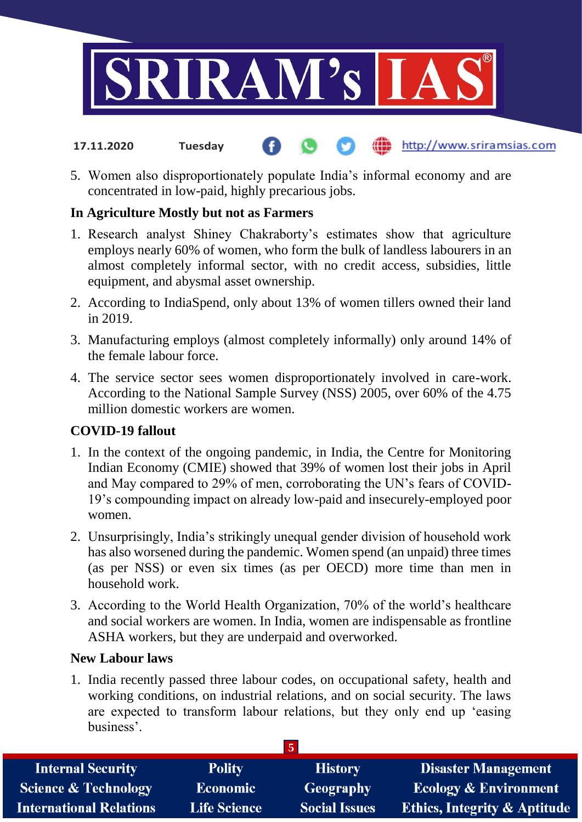

- http://www.sriramsias.com **17.11.2020 Tuesday**
- 5. Women also disproportionately populate India's informal economy and are concentrated in low-paid, highly precarious jobs.

### **In Agriculture Mostly but not as Farmers**

- 1. Research analyst Shiney Chakraborty's estimates show that agriculture employs nearly 60% of women, who form the bulk of landless labourers in an almost completely informal sector, with no credit access, subsidies, little equipment, and abysmal asset ownership.
- 2. According to IndiaSpend, only about 13% of women tillers owned their land in 2019.
- 3. Manufacturing employs (almost completely informally) only around 14% of the female labour force.
- 4. The service sector sees women disproportionately involved in care-work. According to the National Sample Survey (NSS) 2005, over 60% of the 4.75 million domestic workers are women.

### **COVID-19 fallout**

- 1. In the context of the ongoing pandemic, in India, the Centre for Monitoring Indian Economy (CMIE) showed that 39% of women lost their jobs in April and May compared to 29% of men, corroborating the UN's fears of COVID-19's compounding impact on already low-paid and insecurely-employed poor women.
- 2. Unsurprisingly, India's strikingly unequal gender division of household work has also worsened during the pandemic. Women spend (an unpaid) three times (as per NSS) or even six times (as per OECD) more time than men in household work.
- 3. According to the World Health Organization, 70% of the world's healthcare and social workers are women. In India, women are indispensable as frontline ASHA workers, but they are underpaid and overworked.

### **New Labour laws**

1. India recently passed three labour codes, on occupational safety, health and working conditions, on industrial relations, and on social security. The laws are expected to transform labour relations, but they only end up 'easing business'.

| <b>Internal Security</b>        | <b>Polity</b>       | <b>History</b>       | <b>Disaster Management</b>              |
|---------------------------------|---------------------|----------------------|-----------------------------------------|
| <b>Science &amp; Technology</b> | <b>Economic</b>     | Geography            | <b>Ecology &amp; Environment</b>        |
| <b>International Relations</b>  | <b>Life Science</b> | <b>Social Issues</b> | <b>Ethics, Integrity &amp; Aptitude</b> |